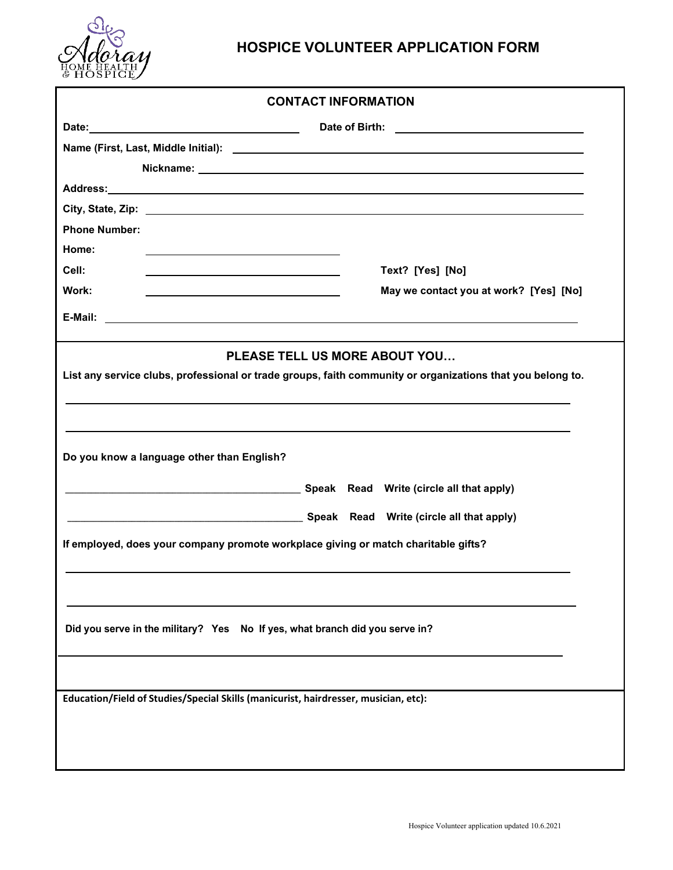

## **HOSPICE VOLUNTEER APPLICATION FORM**

| <b>CONTACT INFORMATION</b>                                                                                                                                                                                                             |                                        |  |  |  |
|----------------------------------------------------------------------------------------------------------------------------------------------------------------------------------------------------------------------------------------|----------------------------------------|--|--|--|
|                                                                                                                                                                                                                                        |                                        |  |  |  |
| Name (First, Last, Middle Initial):                                                                                                                                                                                                    |                                        |  |  |  |
|                                                                                                                                                                                                                                        |                                        |  |  |  |
|                                                                                                                                                                                                                                        |                                        |  |  |  |
|                                                                                                                                                                                                                                        |                                        |  |  |  |
| <b>Phone Number:</b>                                                                                                                                                                                                                   |                                        |  |  |  |
| Home:                                                                                                                                                                                                                                  |                                        |  |  |  |
| Cell:                                                                                                                                                                                                                                  | Text? [Yes] [No]                       |  |  |  |
| Work:                                                                                                                                                                                                                                  | May we contact you at work? [Yes] [No] |  |  |  |
|                                                                                                                                                                                                                                        |                                        |  |  |  |
| <b>PLEASE TELL US MORE ABOUT YOU</b><br>List any service clubs, professional or trade groups, faith community or organizations that you belong to.<br>,我们也不会有什么。""我们的人,我们也不会有什么?""我们的人,我们也不会有什么?""我们的人,我们也不会有什么?""我们的人,我们也不会有什么?""我们的人 |                                        |  |  |  |
| Do you know a language other than English?                                                                                                                                                                                             |                                        |  |  |  |
|                                                                                                                                                                                                                                        |                                        |  |  |  |
|                                                                                                                                                                                                                                        |                                        |  |  |  |
| If employed, does your company promote workplace giving or match charitable gifts?                                                                                                                                                     |                                        |  |  |  |
| Did you serve in the military? Yes No If yes, what branch did you serve in?                                                                                                                                                            |                                        |  |  |  |
|                                                                                                                                                                                                                                        |                                        |  |  |  |
| Education/Field of Studies/Special Skills (manicurist, hairdresser, musician, etc):                                                                                                                                                    |                                        |  |  |  |